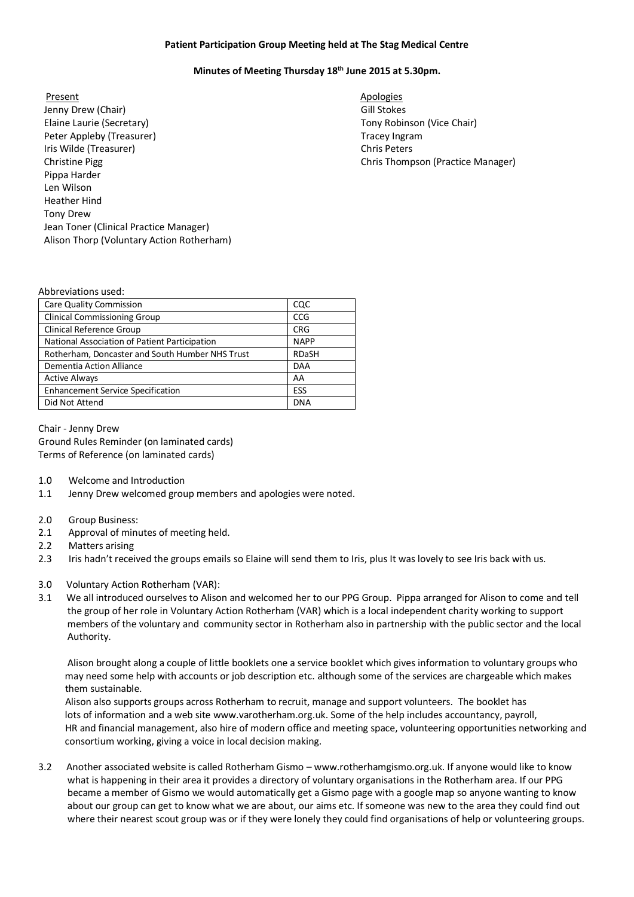## **Patient Participation Group Meeting held at The Stag Medical Centre**

## **Minutes of Meeting Thursday 18th June 2015 at 5.30pm.**

Present Apologies **Apologies** Jenny Drew (Chair) Gill Stokes Elaine Laurie (Secretary) Tony Robinson (Vice Chair) Peter Appleby (Treasurer) Iris Wilde (Treasurer) Christine Pigg Chris Thompson (Practice Manager) Pippa Harder Len Wilson Heather Hind Tony Drew Jean Toner (Clinical Practice Manager) Alison Thorp (Voluntary Action Rotherham)

Tracey Ingram Chris Peters

## Abbreviations used:

| <b>Care Quality Commission</b>                  | CQC          |
|-------------------------------------------------|--------------|
| <b>Clinical Commissioning Group</b>             | <b>CCG</b>   |
| <b>Clinical Reference Group</b>                 | <b>CRG</b>   |
| National Association of Patient Participation   | <b>NAPP</b>  |
| Rotherham, Doncaster and South Humber NHS Trust | <b>RDaSH</b> |
| Dementia Action Alliance                        | <b>DAA</b>   |
| <b>Active Always</b>                            | AA           |
| <b>Enhancement Service Specification</b>        | ESS          |
| Did Not Attend                                  | <b>DNA</b>   |

Chair - Jenny Drew Ground Rules Reminder (on laminated cards) Terms of Reference (on laminated cards)

- 1.0 Welcome and Introduction
- 1.1 Jenny Drew welcomed group members and apologies were noted.
- 2.0 Group Business:
- 2.1 Approval of minutes of meeting held.
- 2.2 Matters arising
- 2.3 Iris hadn't received the groups emails so Elaine will send them to Iris, plus It was lovely to see Iris back with us.
- 3.0 Voluntary Action Rotherham (VAR):
- 3.1 We all introduced ourselves to Alison and welcomed her to our PPG Group. Pippa arranged for Alison to come and tell the group of her role in Voluntary Action Rotherham (VAR) which is a local independent charity working to support members of the voluntary and community sector in Rotherham also in partnership with the public sector and the local Authority.

 Alison brought along a couple of little booklets one a service booklet which gives information to voluntary groups who may need some help with accounts or job description etc. although some of the services are chargeable which makes them sustainable.

 Alison also supports groups across Rotherham to recruit, manage and support volunteers. The booklet has lots of information and a web site www.varotherham.org.uk. Some of the help includes accountancy, payroll, HR and financial management, also hire of modern office and meeting space, volunteering opportunities networking and consortium working, giving a voice in local decision making.

3.2 Another associated website is called Rotherham Gismo – www.rotherhamgismo.org.uk. If anyone would like to know what is happening in their area it provides a directory of voluntary organisations in the Rotherham area. If our PPG became a member of Gismo we would automatically get a Gismo page with a google map so anyone wanting to know about our group can get to know what we are about, our aims etc. If someone was new to the area they could find out where their nearest scout group was or if they were lonely they could find organisations of help or volunteering groups.